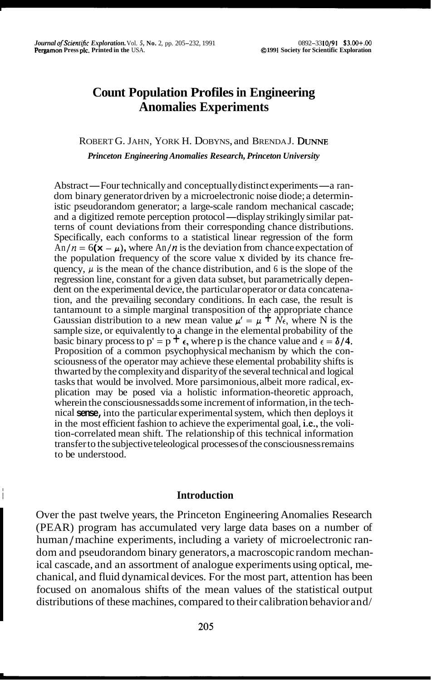# **Count Population Profiles in Engineering Anomalies Experiments**

## ROBERT G. JAHN, YORK H. DOBYNS, and BRENDA J. DUNNE *Princeton Engineering Anomalies Research, Princeton University*

Abstract—Four technically and conceptually distinct experiments—a random binary generator driven by a microelectronic noise diode; a deterministic pseudorandom generator; a large-scale random mechanical cascade; and a digitized remote perception protocol-display strikingly similar patterns of count deviations from their corresponding chance distributions. Specifically, each conforms to a statistical linear regression of the form  $\hat{A}n/n = 6(\mathbf{x} - \mu)$ , where  $\hat{A}n/n$  is the deviation from chance expectation of the population frequency of the score value x divided by its chance frequency,  $\mu$  is the mean of the chance distribution, and 6 is the slope of the regression line, constant for a given data subset, but parametrically dependent on the experimental device, the particular operator or data concatenation, and the prevailing secondary conditions. In each case, the result is tantamount to a simple marginal transposition of the appropriate chance Gaussian distribution to a new mean value  $\mu' = \mu + N\hat{\epsilon}$ , where N is the sample size, or equivalently to a change in the elemental probability of the basic binary process to p' = p  $\pm \epsilon$ , where p is the chance value and  $\epsilon = \delta/4$ . Proposition of a common psychophysical mechanism by which the consciousness of the operator may achieve these elemental probability shifts is thwarted by the complexity and disparity of the several technical and logical tasks that would be involved. More parsimonious, albeit more radical, explication may be posed via a holistic information-theoretic approach, wherein the consciousnessadds some increment of information, in the technical **sense,** into the particular experimental system, which then deploys it in the most efficient fashion to achieve the experimental goal, i.e., the volition-correlated mean shift. The relationship of this technical information transfer to the subjective teleological processes of the consciousness remains to be understood.

## <sup>~</sup>**Introduction**

I

Over the past twelve years, the Princeton Engineering Anomalies Research (PEAR) program has accumulated very large data bases on a number of human / machine experiments, including a variety of microelectronic random and pseudorandom binary generators, a macroscopic random mechanical cascade, and an assortment of analogue experiments using optical, mechanical, and fluid dynamical devices. For the most part, attention has been focused on anomalous shifts of the mean values of the statistical output distributions of these machines, compared to their calibration behavior and/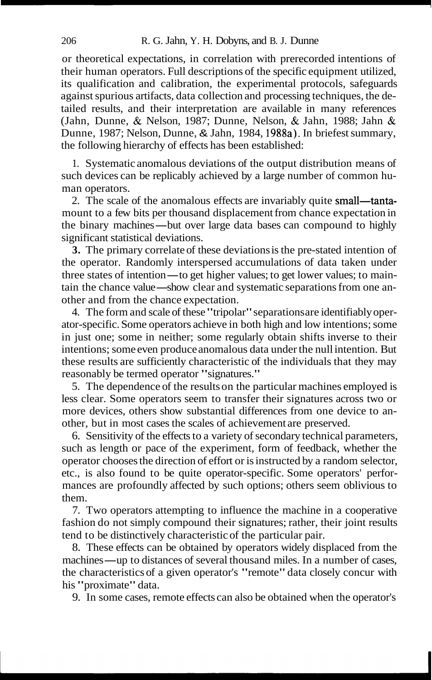or theoretical expectations, in correlation with prerecorded intentions of their human operators. Full descriptions of the specific equipment utilized, its qualification and calibration, the experimental protocols, safeguards against spurious artifacts, data collection and processing techniques, the detailed results, and their interpretation are available in many references (Jahn, Dunne, & Nelson, 1987; Dunne, Nelson, & Jahn, 1988; Jahn & Dunne, 1987; Nelson, Dunne, & Jahn, 1984, 1988a). In briefest summary, the following hierarchy of effects has been established:

1. Systematic anomalous deviations of the output distribution means of such devices can be replicably achieved by a large number of common human operators.

2. The scale of the anomalous effects are invariably quite small—tantamount to a few bits per thousand displacement from chance expectation in 2. The scale of the anomalous effects are invariably quite **small—tanta**-<br>mount to a few bits per thousand displacement from chance expectation in<br>the binary machines—but over large data bases can compound to highly<br>signif significant statistical deviations.

**3.** The primary correlate of these deviations is the pre-stated intention of the operator. Randomly interspersed accumulations of data taken under 3. The primary correlate of these deviations is the pre-stated intention of the operator. Randomly interspersed accumulations of data taken under three states of intention—to get higher values; to get lower values; to main three states of intention—to get higher values; to get lower values; to maintain the chance value—show clear and systematic separations from one another and from the chance expectation.

4. The form and scale of these "tripolar" separations are identifiably operator-specific. Some operators achieve in both high and low intentions; some in just one; some in neither; some regularly obtain shifts inverse to their intentions; some even produce anomalous data under the null intention. But these results are sufficiently characteristic of the individuals that they may reasonably be termed operator "signatures."

5. The dependence of the results on the particular machines employed is less clear. Some operators seem to transfer their signatures across two or more devices, others show substantial differences from one device to another, but in most cases the scales of achievement are preserved.

6. Sensitivity of the effects to a variety of secondary technical parameters, such as length or pace of the experiment, form of feedback, whether the operator chooses the direction of effort or is instructed by a random selector, etc., is also found to be quite operator-specific. Some operators' performances are profoundly affected by such options; others seem oblivious to them.

7. Two operators attempting to influence the machine in a cooperative fashion do not simply compound their signatures; rather, their joint results tend to be distinctively characteristic of the particular pair.

8. These effects can be obtained by operators widely displaced from the machines—up to distances of several thousand miles. In a number of cases, the characteristics of a given operator's "remote" data closely concur with his "proximate" data.

9. In some cases, remote effects can also be obtained when the operator's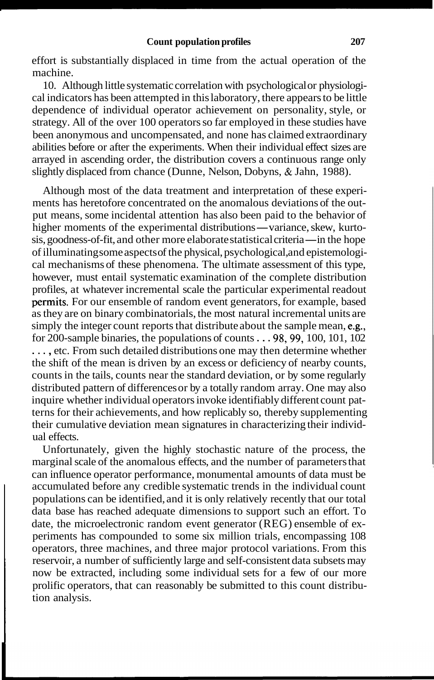effort is substantially displaced in time from the actual operation of the machine.

10. Although little systematic correlation with psychological or physiological indicators has been attempted in this laboratory, there appears to be little dependence of individual operator achievement on personality, style, or strategy. All of the over 100 operators so far employed in these studies have been anonymous and uncompensated, and none has claimed extraordinary abilities before or after the experiments. When their individual effect sizes are arrayed in ascending order, the distribution covers a continuous range only slightly displaced from chance (Dunne, Nelson, Dobyns, & Jahn, 1988).

Although most of the data treatment and interpretation of these experiments has heretofore concentrated on the anomalous deviations of the output means, some incidental attention has also been paid to the behavior of ments has heretofore concentrated on the anomalous deviations of the output means, some incidental attention has also been paid to the behavior of higher moments of the experimental distributions—variance, skew, kurto-<br>sig higher moments of the experimental distributions — variance, skew, kurtosis, goodness-of-fit, and other more elaborate statistical criteria — in the hope of illuminating some aspects of the physical, psychological, and epistemological mechanisms of these phenomena. The ultimate assessment of this type, however, must entail systematic examination of the complete distribution profiles, at whatever incremental scale the particular experimental readout permits. For our ensemble of random event generators, for example, based as they are on binary combinatorials, the most natural incremental units are simply the integer count reports that distribute about the sample mean, e.g., for 200-sample binaries, the populations of counts  $\ldots$  98, 99, 100, 101, 102 ..., etc. From such detailed distributions one may then determine whether the shift of the mean is driven by an excess or deficiency of nearby counts, counts in the tails, counts near the standard deviation, or by some regularly distributed pattern of differences or by a totally random array. One may also inquire whether individual operators invoke identifiably different count patterns for their achievements, and how replicably so, thereby supplementing their cumulative deviation mean signatures in characterizing their individual effects.

Unfortunately, given the highly stochastic nature of the process, the marginal scale of the anomalous effects, and the number of parameters that can influence operator performance, monumental amounts of data must be accumulated before any credible systematic trends in the individual count populations can be identified, and it is only relatively recently that our total data base has reached adequate dimensions to support such an effort. To date, the microelectronic random event generator (REG) ensemble of experiments has compounded to some six million trials, encompassing 108 operators, three machines, and three major protocol variations. From this reservoir, a number of sufficiently large and self-consistent data subsets may now be extracted, including some individual sets for a few of our more prolific operators, that can reasonably be submitted to this count distribution analysis.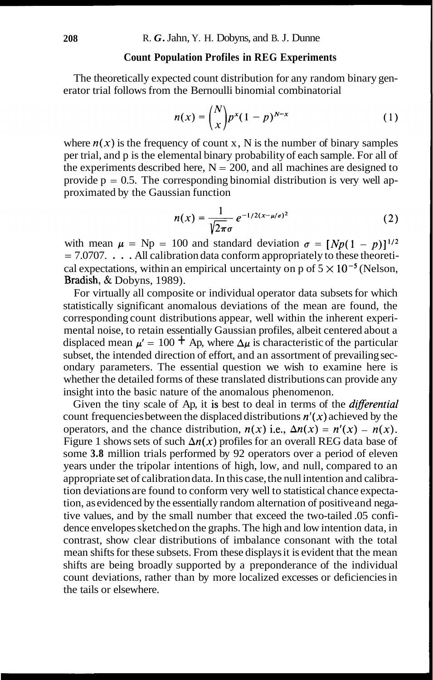## **Count Population Profiles in REG Experiments**

The theoretically expected count distribution for any random binary generator trial follows from the Bernoulli binomial combinatorial

$$
n(x) = {N \choose x} p^{x} (1-p)^{N-x}
$$
 (1)

where  $n(x)$  is the frequency of count x, N is the number of binary samples per trial, and p is the elemental binary probability of each sample. For all of the experiments described here,  $N = 200$ , and all machines are designed to provide  $p = 0.5$ . The corresponding binomial distribution is very well approximated by the Gaussian function

$$
n(x) = \frac{1}{\sqrt{2\pi}\sigma} e^{-1/2(x-\mu/\sigma)^2}
$$
 (2)

with mean  $\mu$  = Np = 100 and standard deviation  $\sigma = [Np(1 - p)]^{1/2}$  $= 7.0707.$  ... All calibration data conform appropriately to these theoretical expectations, within an empirical uncertainty on p of  $5 \times 10^{-5}$  (Nelson, Bradish, & Dobyns, 1989).

For virtually all composite or individual operator data subsets for which statistically significant anomalous deviations of the mean are found, the corresponding count distributions appear, well within the inherent experimental noise, to retain essentially Gaussian profiles, albeit centered about a displaced mean  $\mu' = 100 + Ap$ , where  $\Delta \mu$  is characteristic of the particular subset, the intended direction of effort, and an assortment of prevailing secondary parameters. The essential question we wish to examine here is whether the detailed forms of these translated distributions can provide any insight into the basic nature of the anomalous phenomenon.

Given the tiny scale of Ap, it is best to deal in terms of the *differential* count frequencies between the displaced distributions  $n'(x)$  achieved by the operators, and the chance distribution,  $n(x)$  i.e.,  $\Delta n(x) = n'(x) - n(x)$ . Figure 1 shows sets of such  $\Delta n(x)$  profiles for an overall REG data base of some **3.8** million trials performed by 92 operators over a period of eleven years under the tripolar intentions of high, low, and null, compared to an appropriate set of calibration data. In this case, the null intention and calibration deviations are found to conform very well to statistical chance expectation, as evidenced by the essentially random alternation of positive and negative values, and by the small number that exceed the two-tailed .05 confidence envelopes sketched on the graphs. The high and low intention data, in contrast, show clear distributions of imbalance consonant with the total mean shifts for these subsets. From these displays it is evident that the mean shifts are being broadly supported by a preponderance of the individual count deviations, rather than by more localized excesses or deficiencies in the tails or elsewhere.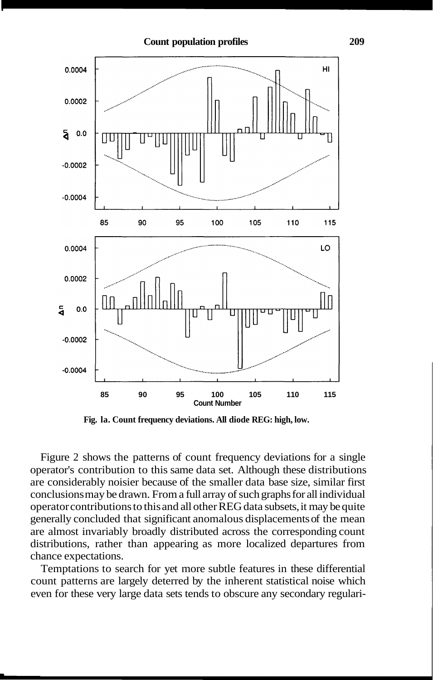

**Fig. la. Count frequency deviations. All diode REG: high, low.** 

Figure 2 shows the patterns of count frequency deviations for a single operator's contribution to this same data set. Although these distributions are considerably noisier because of the smaller data base size, similar first conclusions may be drawn. From a full array of such graphs for all individual operator contributions to this and all other REG data subsets, it may be quite generally concluded that significant anomalous displacements of the mean are almost invariably broadly distributed across the corresponding count distributions, rather than appearing as more localized departures from chance expectations.

Temptations to search for yet more subtle features in these differential count patterns are largely deterred by the inherent statistical noise which even for these very large data sets tends to obscure any secondary regulari-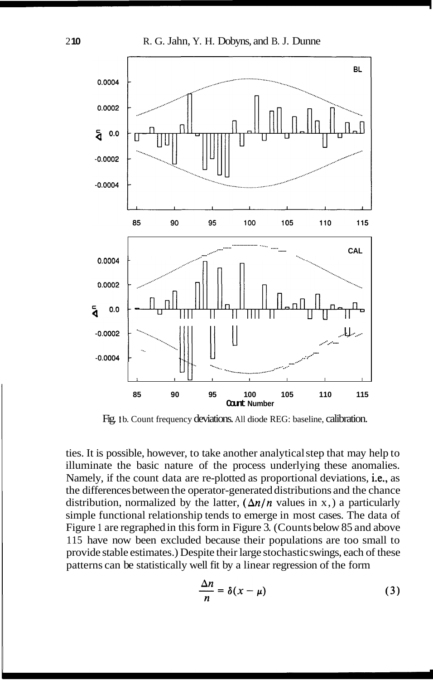

Fig. 1b. Count frequency deviations. All diode REG: baseline, calibration.

ties. It is possible, however, to take another analytical step that may help to illuminate the basic nature of the process underlying these anomalies. Namely, if the count data are re-plotted as proportional deviations, i.e., as the differences between the operator-generated distributions and the chance distribution, normalized by the latter,  $(\Delta n/n)$  values in x, a particularly simple functional relationship tends to emerge in most cases. The data of Figure 1 are regraphed in this form in Figure 3. (Counts below 85 and above 115 have now been excluded because their populations are too small to provide stable estimates.) Despite their large stochastic swings, each of these patterns can be statistically well fit by a linear regression of the form

$$
\frac{\Delta n}{n} = \delta(x - \mu) \tag{3}
$$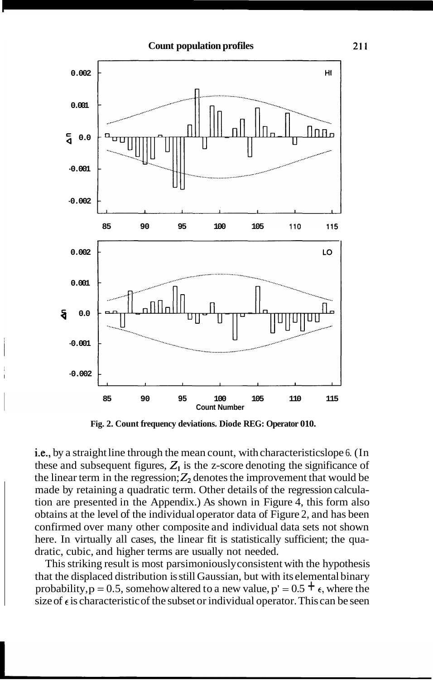

**Fig. 2. Count frequency deviations. Diode REG: Operator 010.** 

i.e., by a straight line through the mean count, with characteristics lope 6. (In these and subsequent figures,  $Z_1$  is the z-score denoting the significance of the linear term in the regression;  $Z_2$  denotes the improvement that would be made by retaining a quadratic term. Other details of the regression calculation are presented in the Appendix.) As shown in Figure 4, this form also obtains at the level of the individual operator data of Figure 2, and has been confirmed over many other composite and individual data sets not shown here. In virtually all cases, the linear fit is statistically sufficient; the quadratic, cubic, and higher terms are usually not needed.

This striking result is most parsimoniously consistent with the hypothesis that the displaced distribution is still Gaussian, but with its elemental binary probability,  $p = 0.5$ , somehow altered to a new value,  $p' = 0.5 + \epsilon$ , where the size of  $\epsilon$  is characteristic of the subset or individual operator. This can be seen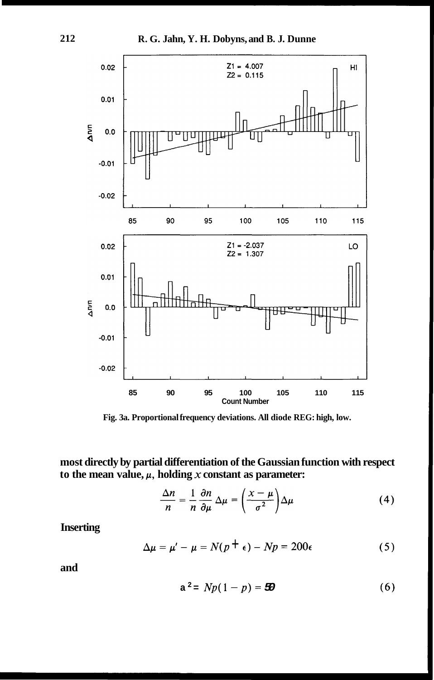

**Fig. 3a. Proportional frequency deviations. All diode REG: high, low.** 

**most directly by partial differentiation of the Gaussian function with respect**  to the mean value,  $\mu$ , holding  $x$  constant as parameter:

$$
\frac{\Delta n}{n} = \frac{1}{n} \frac{\partial n}{\partial \mu} \Delta \mu = \left(\frac{x - \mu}{\sigma^2}\right) \Delta \mu \tag{4}
$$

**Inserting** 

$$
\Delta \mu = \mu' - \mu = N(p + \epsilon) - Np = 200\epsilon
$$
 (5)

**and** 

$$
a^2 = Np(1-p) = \mathbf{50}
$$
 (6)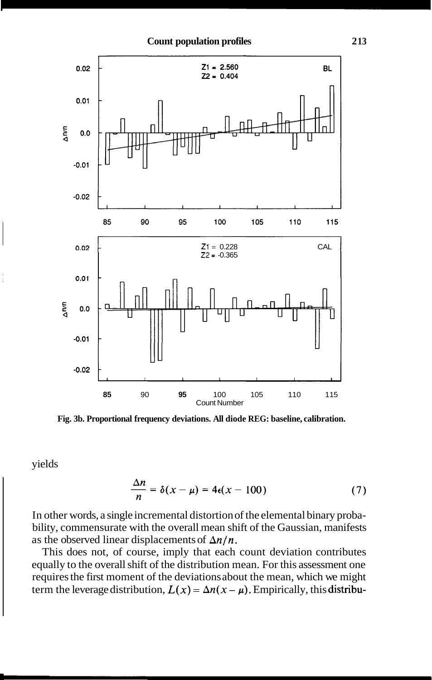

**Fig. 3b. Proportional frequency deviations. All diode REG: baseline, calibration.** 

yields

$$
\frac{\Delta n}{n} = \delta(x - \mu) = 4\epsilon(x - 100) \tag{7}
$$

In other words, a single incremental distortion of the elemental binary probability, commensurate with the overall mean shift of the Gaussian, manifests as the observed linear displacements of  $\Delta n/n$ .

This does not, of course, imply that each count deviation contributes equally to the overall shift of the distribution mean. For this assessment one requires the first moment of the deviations about the mean, which we might term the leverage distribution,  $L(x) = \Delta n(x - \mu)$ . Empirically, this distribu-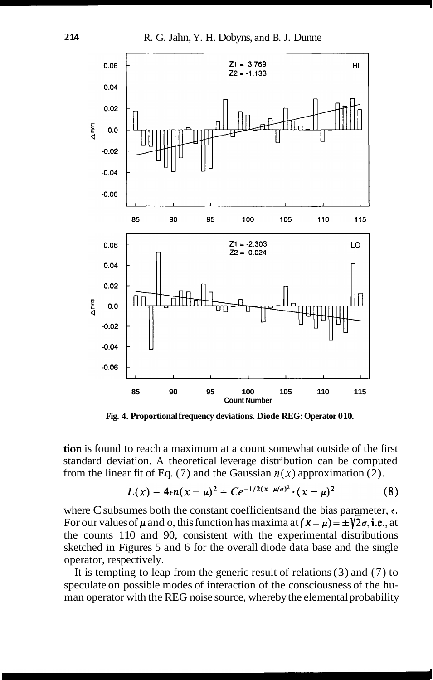

**Fig. 4. Proportional frequency deviations. Diode REG: Operator 0 10.** 

tion is found to reach a maximum at a count somewhat outside of the first standard deviation. A theoretical leverage distribution can be computed from the linear fit of Eq. (7) and the Gaussian  $n(x)$  approximation (2).

$$
L(x) = 4\epsilon n(x - \mu)^2 = Ce^{-1/2(x - \mu/\sigma)^2} \cdot (x - \mu)^2
$$
 (8)

where C subsumes both the constant coefficients and the bias parameter,  $\epsilon$ . For our values of  $\mu$  and o, this function has maxima at  $(\mathbf{x} - \mu) = \pm \sqrt{2\sigma}$ , i.e., at the counts 1 10 and 90, consistent with the experimental distributions sketched in Figures 5 and 6 for the overall diode data base and the single operator, respectively.

It is tempting to leap from the generic result of relations  $(3)$  and  $(7)$  to speculate on possible modes of interaction of the consciousness of the human operator with the REG noise source, whereby the elemental probability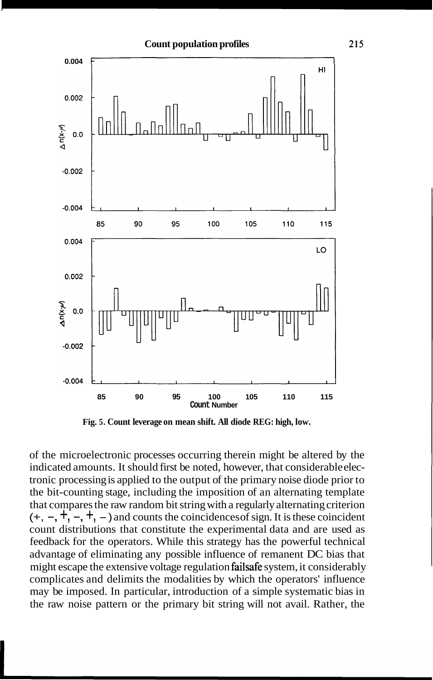

**Fig. 5. Count leverage on mean shift. All diode REG: high, low.** 

of the microelectronic processes occurring therein might be altered by the indicated amounts. It should first be noted, however, that considerable electronic processing is applied to the output of the primary noise diode prior to the bit-counting stage, including the imposition of an alternating template that compares the raw random bit string with a regularly alternating criterion  $(+, -, +, -, +, -)$  and counts the coincidences of sign. It is these coincident count distributions that constitute the experimental data and are used as feedback for the operators. While this strategy has the powerful technical advantage of eliminating any possible influence of remanent DC bias that might escape the extensive voltage regulation failsafe system, it considerably complicates and delimits the modalities by which the operators' influence may be imposed. In particular, introduction of a simple systematic bias in the raw noise pattern or the primary bit string will not avail. Rather, the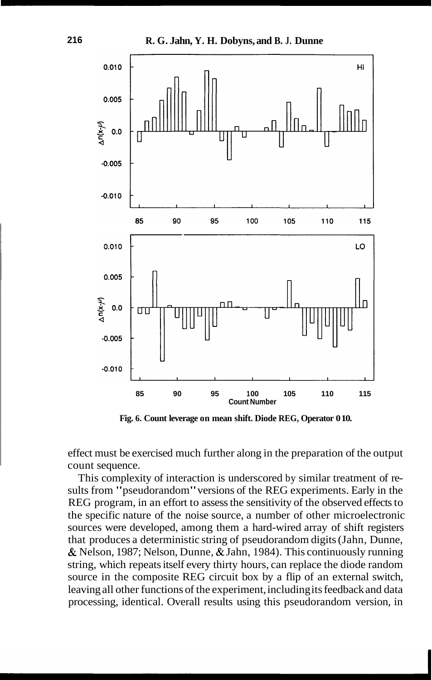

**Fig. 6. Count leverage on mean shift. Diode REG, Operator 0 10.** 

effect must be exercised much further along in the preparation of the output count sequence.

This complexity of interaction is underscored by similar treatment of results from "pseudorandom" versions of the REG experiments. Early in the REG program, in an effort to assess the sensitivity of the observed effects to the specific nature of the noise source, a number of other microelectronic sources were developed, among them a hard-wired array of shift registers that produces a deterministic string of pseudorandom digits (Jahn, Dunne, & Nelson, 1987; Nelson, Dunne, & Jahn, 1984). This continuously running string, which repeats itself every thirty hours, can replace the diode random source in the composite REG circuit box by a flip of an external switch, leaving all other functions of the experiment, including its feedback and data processing, identical. Overall results using this pseudorandom version, in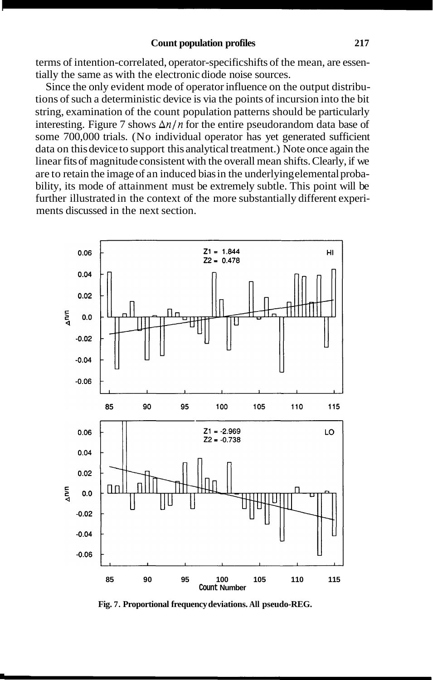#### **Count population profiles 217**

terms of intention-correlated, operator-specific shifts of the mean, are essentially the same as with the electronic diode noise sources.

Since the only evident mode of operator influence on the output distributions of such a deterministic device is via the points of incursion into the bit string, examination of the count population patterns should be particularly interesting. Figure 7 shows  $\Delta n/n$  for the entire pseudorandom data base of some 700,000 trials. (No individual operator has yet generated sufficient data on this device to support this analytical treatment.) Note once again the linear fits of magnitude consistent with the overall mean shifts. Clearly, if we are to retain the image of an induced bias in the underlying elemental probability, its mode of attainment must be extremely subtle. This point will be further illustrated in the context of the more substantially different experiments discussed in the next section.



**Fig. 7. Proportional frequency deviations. All pseudo-REG.**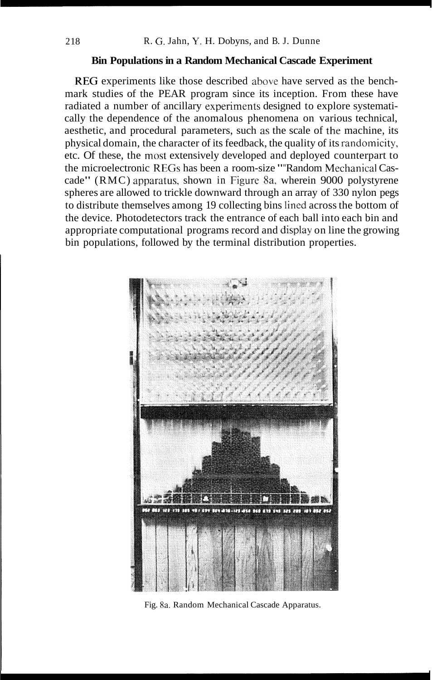## **Bin Populations in a Random Mechanical Cascade Experiment**

REG experiments like those described above have served as the benchmark studies of the PEAR program since its inception. From these have radiated a number of ancillary experiments designed to explore systematically the dependence of the anomalous phenomena on various technical, aesthetic, and procedural parameters, such as the scale of the machine, its physical domain, the character of its feedback, the quality of its randomicity, etc. Of these, the most extensively developed and deployed counterpart to the microelectronic REGs has been a room-size ""Random Mechanical Cascade" (RMC) apparatus, shown in Figure 8a, wherein 9000 polystyrene spheres are allowed to trickle downward through an array of 330 nylon pegs to distribute themselves among 19 collecting bins lined across the bottom of the device. Photodetectors track the entrance of each ball into each bin and appropriate computational programs record and display on line the growing bin populations, followed by the terminal distribution properties.



Fig. 8a. Random Mechanical Cascade Apparatus.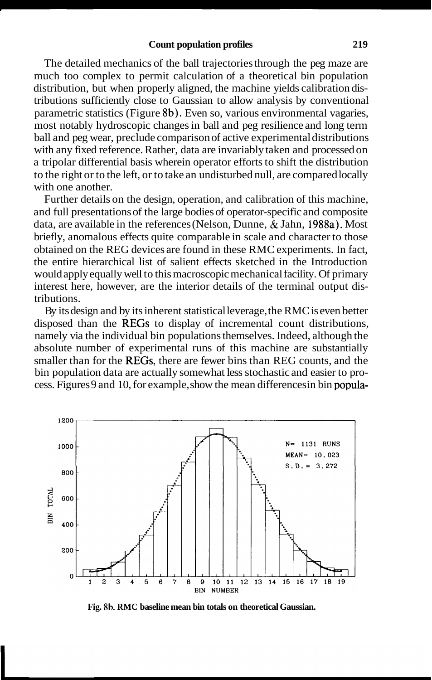The detailed mechanics of the ball trajectories through the peg maze are much too complex to permit calculation of a theoretical bin population distribution, but when properly aligned, the machine yields calibration distributions sufficiently close to Gaussian to allow analysis by conventional parametric statistics (Figure 8b). Even so, various environmental vagaries, most notably hydroscopic changes in ball and peg resilience and long term ball and peg wear, preclude comparison of active experimental distributions with any fixed reference. Rather, data are invariably taken and processed on a tripolar differential basis wherein operator efforts to shift the distribution to the right or to the left, or to take an undisturbed null, are compared locally with one another.

Further details on the design, operation, and calibration of this machine, and full presentations of the large bodies of operator-specific and composite data, are available in the references (Nelson, Dunne, & Jahn, 1988a). Most briefly, anomalous effects quite comparable in scale and character to those obtained on the REG devices are found in these RMC experiments. In fact, the entire hierarchical list of salient effects sketched in the Introduction would apply equally well to this macroscopic mechanical facility. Of primary interest here, however, are the interior details of the terminal output distributions.

By its design and by its inherent statistical leverage, the RMC is even better disposed than the REGs to display of incremental count distributions, namely via the individual bin populations themselves. Indeed, although the absolute number of experimental runs of this machine are substantially smaller than for the REGs, there are fewer bins than REG counts, and the bin population data are actually somewhat less stochastic and easier to process. Figures 9 and 10, for example, show the mean differences in bin popula-

![](_page_14_Figure_4.jpeg)

**Fig. 8b. RMC baseline mean bin totals on theoretical Gaussian.**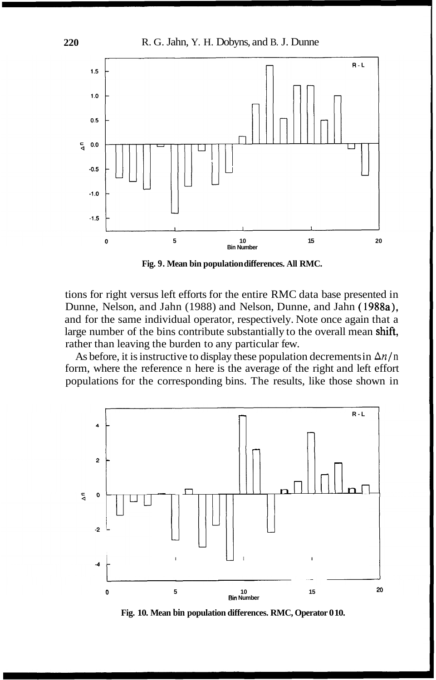![](_page_15_Figure_1.jpeg)

**Fig. 9. Mean bin population differences. All RMC.** 

tions for right versus left efforts for the entire RMC data base presented in Dunne, Nelson, and Jahn (1988) and Nelson, Dunne, and Jahn (1988a), and for the same individual operator, respectively. Note once again that a large number of the bins contribute substantially to the overall mean shift, rather than leaving the burden to any particular few.

As before, it is instructive to display these population decrements in  $\Delta n/n$ form, where the reference n here is the average of the right and left effort populations for the corresponding bins. The results, like those shown in

![](_page_15_Figure_5.jpeg)

**Fig. 10. Mean bin population differences. RMC, Operator 0 10.**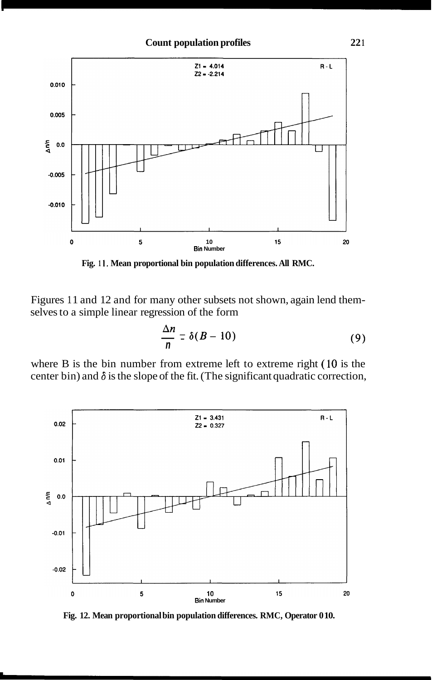![](_page_16_Figure_1.jpeg)

**Fig. 1 1. Mean proportional bin population differences. All RMC.** 

Figures 11 and 12 and for many other subsets not shown, again lend themselves to a simple linear regression of the form

$$
\frac{\Delta n}{n} = \delta(B - 10) \tag{9}
$$

where B is the bin number from extreme left to extreme right (10 is the center bin) and  $\delta$  is the slope of the fit. (The significant quadratic correction,

![](_page_16_Figure_6.jpeg)

**Fig. 12. Mean proportional bin population differences. RMC, Operator 0 10.**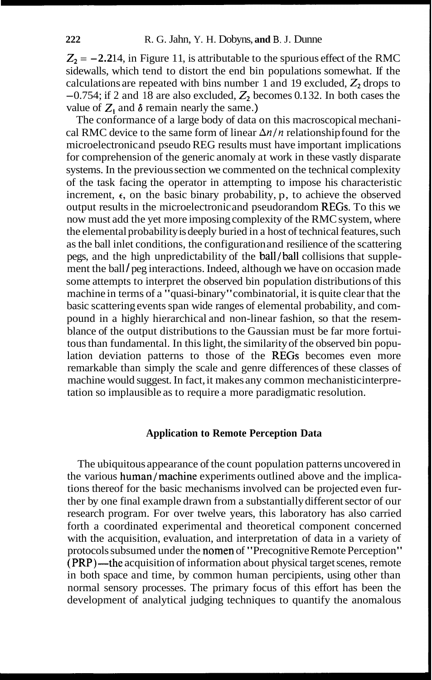$Z_2 = -2.214$ , in Figure 11, is attributable to the spurious effect of the RMC sidewalls, which tend to distort the end bin populations somewhat. If the calculations are repeated with bins number 1 and 19 excluded,  $Z_2$  drops to  $-0.754$ ; if 2 and 18 are also excluded,  $Z_2$  becomes 0.132. In both cases the value of  $Z_1$  and  $\delta$  remain nearly the same.)

The conformance of a large body of data on this macroscopical mechanical RMC device to the same form of linear  $\Delta n/n$  relationship found for the microelectronic and pseudo REG results must have important implications for comprehension of the generic anomaly at work in these vastly disparate systems. In the previous section we commented on the technical complexity of the task facing the operator in attempting to impose his characteristic increment,  $\epsilon$ , on the basic binary probability, p, to achieve the observed output results in the microelectronic and pseudorandom REGs. To this we now must add the yet more imposing complexity of the RMC system, where the elemental probability is deeply buried in a host of technical features, such as the ball inlet conditions, the configuration and resilience of the scattering pegs, and the high unpredictability of the ball/ball collisions that supplement the ball/peg interactions. Indeed, although we have on occasion made some attempts to interpret the observed bin population distributions of this machine in terms of a "quasi-binary" combinatorial, it is quite clear that the basic scattering events span wide ranges of elemental probability, and compound in a highly hierarchical and non-linear fashion, so that the resemblance of the output distributions to the Gaussian must be far more fortuitous than fundamental. In this light, the similarity of the observed bin population deviation patterns to those of the REGs becomes even more remarkable than simply the scale and genre differences of these classes of machine would suggest. In fact, it makes any common mechanistic interpretation so implausible as to require a more paradigmatic resolution.

## **Application to Remote Perception Data**

The ubiquitous appearance of the count population patterns uncovered in the various human/machine experiments outlined above and the implications thereof for the basic mechanisms involved can be projected even further by one final example drawn from a substantially different sector of our research program. For over twelve years, this laboratory has also carried forth a coordinated experimental and theoretical component concerned with the acquisition, evaluation, and interpretation of data in a variety of protocols subsumed under the nomen of "Precognitive Remote Perception"  $(PRP)$ —the acquisition of information about physical target scenes, remote in both space and time, by common human percipients, using other than normal sensory processes. The primary focus of this effort has been the development of analytical judging techniques to quantify the anomalous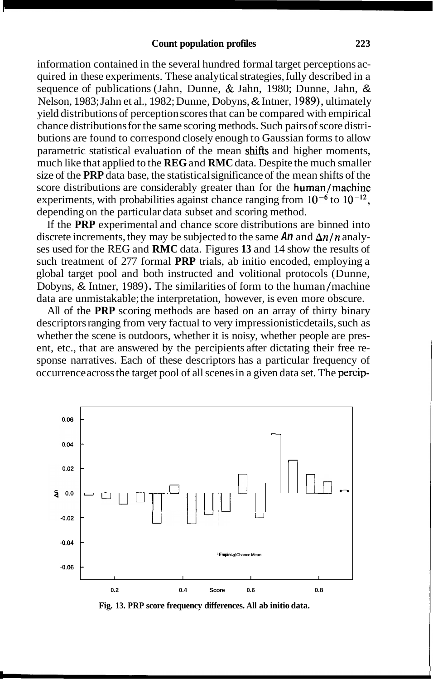information contained in the several hundred formal target perceptions acquired in these experiments. These analytical strategies, fully described in a sequence of publications (Jahn, Dunne, & Jahn, 1980; Dunne, Jahn, & Nelson, 1983; Jahn et al., 1982; Dunne, Dobyns, & Intner, 1989), ultimately yield distributions of perception scores that can be compared with empirical chance distributions for the same scoring methods. Such pairs of score distributions are found to correspond closely enough to Gaussian forms to allow parametric statistical evaluation of the mean shifts and higher moments, much like that applied to the **REG** and **RMC** data. Despite the much smaller size of the **PRP** data base, the statistical significance of the mean shifts of the score distributions are considerably greater than for the human/machine experiments, with probabilities against chance ranging from  $10^{-6}$  to  $10^{-12}$ , depending on the particular data subset and scoring method.

If the **PRP** experimental and chance score distributions are binned into discrete increments, they may be subjected to the same  $An$  and  $\Delta n/n$  analyses used for the REG and **RMC** data. Figures **13** and 14 show the results of such treatment of 277 formal **PRP** trials, ab initio encoded, employing a global target pool and both instructed and volitional protocols (Dunne, Dobyns, & Intner, 1989). The similarities of form to the human/machine data are unmistakable; the interpretation, however, is even more obscure.

All of the **PRP** scoring methods are based on an array of thirty binary descriptors ranging from very factual to very impressionistic details, such as whether the scene is outdoors, whether it is noisy, whether people are present, etc., that are answered by the percipients after dictating their free response narratives. Each of these descriptors has a particular frequency of occurrence across the target pool of all scenes in a given data set. The percip-

![](_page_18_Figure_4.jpeg)

**Fig. 13. PRP score frequency differences. All ab initio data.**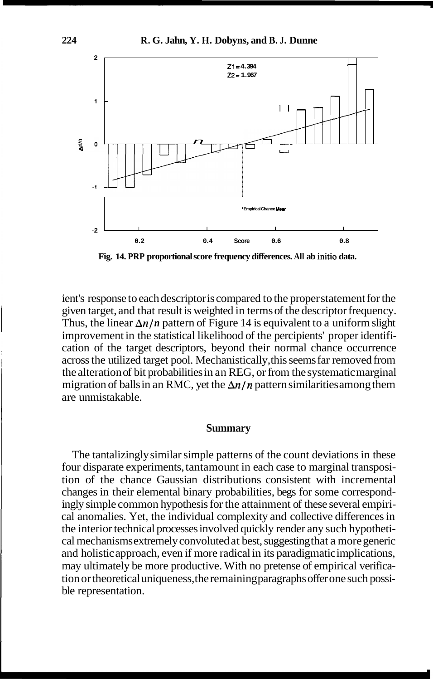![](_page_19_Figure_1.jpeg)

**Fig. 14. PRP proportional score frequency differences. All ab initio data.** 

ient's response to each descriptor is compared to the proper statement for the given target, and that result is weighted in terms of the descriptor frequency. Thus, the linear  $\Delta n/n$  pattern of Figure 14 is equivalent to a uniform slight improvement in the statistical likelihood of the percipients' proper identification of the target descriptors, beyond their normal chance occurrence across the utilized target pool. Mechanistically, this seems far removed from the alteration of bit probabilities in an REG, or from the systematic marginal migration of balls in an RMC, yet the  $\Delta n/n$  pattern similarities among them are unmistakable.

#### **Summary**

The tantalizingly similar simple patterns of the count deviations in these four disparate experiments, tantamount in each case to marginal transposition of the chance Gaussian distributions consistent with incremental changes in their elemental binary probabilities, begs for some correspondingly simple common hypothesis for the attainment of these several empirical anomalies. Yet, the individual complexity and collective differences in the interior technical processes involved quickly render any such hypothetical mechanisms extremely convoluted at best, suggesting that a more generic and holistic approach, even if more radical in its paradigmatic implications, may ultimately be more productive. With no pretense of empirical verification or theoretical uniqueness, the remaining paragraphs offer one such possible representation.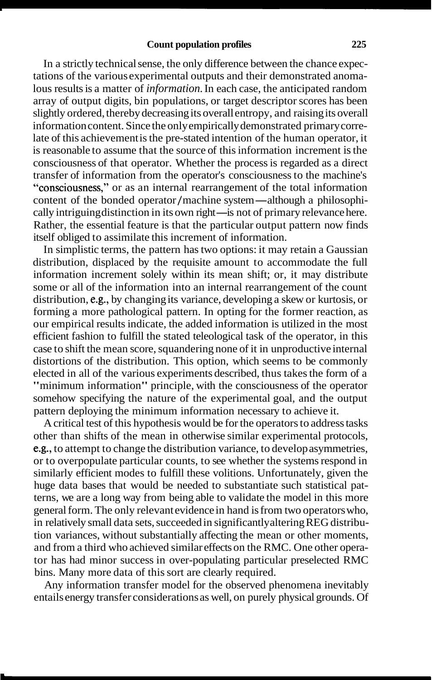In a strictly technical sense, the only difference between the chance expectations of the various experimental outputs and their demonstrated anomalous results is a matter of *information.* In each case, the anticipated random array of output digits, bin populations, or target descriptor scores has been slightly ordered, thereby decreasing its overall entropy, and raising its overall information content. Since the only empirically demonstrated primary correlate of this achievement is the pre-stated intention of the human operator, it is reasonable to assume that the source of this information increment is the consciousness of that operator. Whether the process is regarded as a direct transfer of information from the operator's consciousness to the machine's "consciousness," or as an internal rearrangement of the total information transfer of information from the operator's consciousness to the machine's<br>
"consciousness," or as an internal rearrangement of the total information<br>
content of the bonded operator/machine system—although a philosophi-<br>
c "consciousness," or as an internal rearrangement of the total information<br>content of the bonded operator/machine system—although a philosophi-<br>cally intriguing distinction in its own right—is not of primary relevance here. Rather, the essential feature is that the particular output pattern now finds itself obliged to assimilate this increment of information.

In simplistic terms, the pattern has two options: it may retain a Gaussian distribution, displaced by the requisite amount to accommodate the full information increment solely within its mean shift; or, it may distribute some or all of the information into an internal rearrangement of the count distribution, e.g., by changing its variance, developing a skew or kurtosis, or forming a more pathological pattern. In opting for the former reaction, as our empirical results indicate, the added information is utilized in the most efficient fashion to fulfill the stated teleological task of the operator, in this case to shift the mean score, squandering none of it in unproductive internal distortions of the distribution. This option, which seems to be commonly elected in all of the various experiments described, thus takes the form of a "minimum information" principle, with the consciousness of the operator somehow specifying the nature of the experimental goal, and the output pattern deploying the minimum information necessary to achieve it.

A critical test of this hypothesis would be for the operators to address tasks other than shifts of the mean in otherwise similar experimental protocols, e.g., to attempt to change the distribution variance, to develop asymmetries, or to overpopulate particular counts, to see whether the systems respond in similarly efficient modes to fulfill these volitions. Unfortunately, given the huge data bases that would be needed to substantiate such statistical patterns, we are a long way from being able to validate the model in this more general form. The only relevant evidence in hand is from two operators who, in relatively small data sets, succeeded in significantly altering REG distribution variances, without substantially affecting the mean or other moments, and from a third who achieved similar effects on the RMC. One other operator has had minor success in over-populating particular preselected RMC bins. Many more data of this sort are clearly required.

Any information transfer model for the observed phenomena inevitably entails energy transfer considerations as well, on purely physical grounds. Of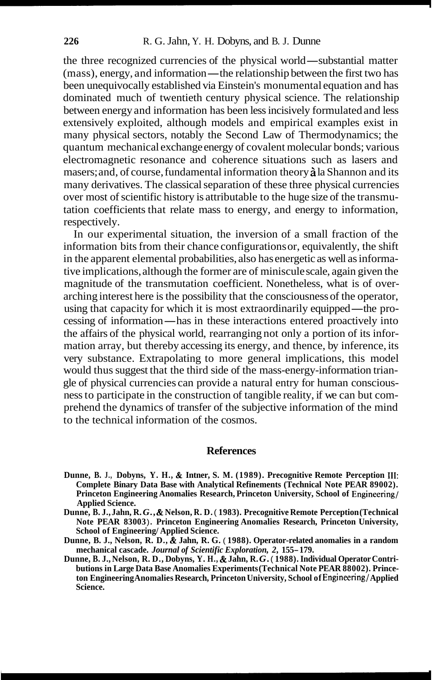the three recognized currencies of the physical world-substantial matter (mass), energy, and information—the relationship between the first two has been unequivocally established via Einstein's monumental equation and has dominated much of twentieth century physical science. The relationship between energy and information has been less incisively formulated and less extensively exploited, although models and empirical examples exist in many physical sectors, notably the Second Law of Thermodynamics; the quantum mechanical exchange energy of covalent molecular bonds; various electromagnetic resonance and coherence situations such as lasers and masers; and, of course, fundamental information theory **i** la Shannon and its many derivatives. The classical separation of these three physical currencies over most of scientific history is attributable to the huge size of the transmutation coefficients that relate mass to energy, and energy to information, respectively.

In our experimental situation, the inversion of a small fraction of the information bits from their chance configurations or, equivalently, the shift in the apparent elemental probabilities, also has energetic as well as informative implications, although the former are of miniscule scale, again given the magnitude of the transmutation coefficient. Nonetheless, what is of overarching interest here is the possibility that the consciousness of the operator, magnitude of the transmutation coefficient. Nonetheless, what is of over-<br>arching interest here is the possibility that the consciousness of the operator,<br>using that capacity for which it is most extraordinarily equipped—t using that capacity for which it is most extraordinarily equipped—the processing of information—has in these interactions entered proactively into the affairs of the physical world, rearranging not only a portion of its information array, but thereby accessing its energy, and thence, by inference, its very substance. Extrapolating to more general implications, this model would thus suggest that the third side of the mass-energy-information triangle of physical currencies can provide a natural entry for human consciousness to participate in the construction of tangible reality, if we can but comprehend the dynamics of transfer of the subjective information of the mind to the technical information of the cosmos.

## **References**

- **Dunne, B. J., Dobyns, Y. H.,** & **Intner, S. M. (1989). Precognitive Remote Perception 111: Complete Binary Data Base with Analytical Refinements (Technical Note PEAR 89002). Princeton Engineering Anomalies Research, Princeton University, School of Engineering/ Applied Science.**
- **Dunne, B. J., Jahn, R.** *G.,* & **Nelson, R. D.** ( **1983). Precognitive Remote Perception (Technical Note PEAR 83003** ) . **Princeton Engineering Anomalies Research, Princeton University, School of Engineering/ Applied Science.**
- **Dunne, B. J., Nelson, R. D.,** & **Jahn, R. G.** ( **1988). Operator-related anomalies in a random mechanical cascade.** *Journal of Scientific Exploration, 2,* **155- 179.**
- **Dunne, B. J., Nelson, R. D., Dobyns, Y. H.,** & **Jahn, R.** *G.* ( **1988). Individual Operator Contributions in Large Data Base Anomalies Experiments (Technical Note PEAR 88002). Princeton Engineering Anomalies Research, Princeton University, School of Engineering/ Applied Science.**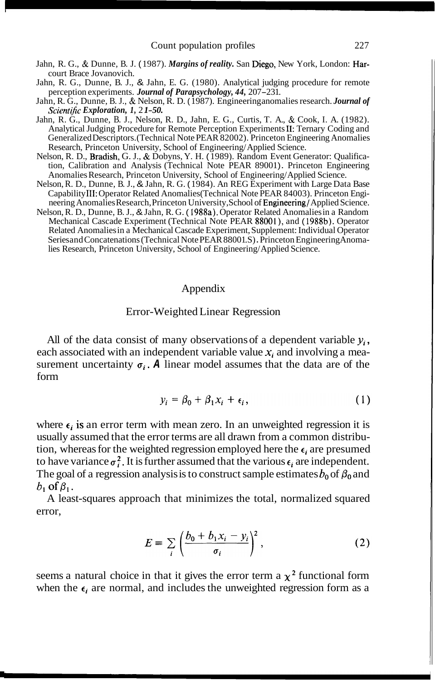- Jahn, R. G., & Dunne, B. J. ( 1987). *Margins of reality.* San Diego, New York, London: Harcourt Brace Jovanovich.
- Jahn, R. G., Dunne, B. J., & Jahn, E. G. (1980). Analytical judging procedure for remote perception experiments. *Journal of Parapsychology*, 44, 207-231.
- Jahn, R. G., Dunne, B. J., & Nelson, R. D. ( 1987). Engineering anomalies research. *Journal of Scientific Exploration, 1, 21-50.*
- Jahn, R. G., Dunne, B. J., Nelson, R. D., Jahn, E. G., Curtis, T. A., & Cook, I. A. (1982). Analytical Judging Procedure for Remote Perception Experiments 11: Ternary Coding and Generalized Descriptors. (Technical Note PEAR 82002). Princeton Engineering Anomalies Research, Princeton University, School of Engineering/ Applied Science.
- Nelson, R. D., Bradish, G. J., & Dobyns, Y. H. ( 1989). Random Event Generator: Qualification, Calibration and Analysis (Technical Note PEAR 89001). Princeton Engineering Anomalies Research, Princeton University, School of Engineering/ Applied Science.
- Nelson, R. D., Dunne, B. J., & Jahn, R. G. ( 1984). An REG Experiment with Large Data Base Capability **111:** Operator Related Anomalies (Technical Note PEAR 84003). Princeton Engineering Anomalies Research, Princeton University, School of Engineering/ Applied Science.
- Nelson, R. D., Dunne, B. J., & Jahn, R. G. ( 1988a). Operator Related Anomalies in a Random Mechanical Cascade Experiment (Technical Note PEAR 88001), and ( 1988b). Operator Related Anomalies in a Mechanical Cascade Experiment, Supplement: Individual Operator Series and Concatenations (Technical Note PEAR 88001.S). Princeton Engineering Anomalies Research, Princeton University, School of Engineering/ Applied Science.

## Appendix

#### Error-Weighted Linear Regression

All of the data consist of many observations of a dependent variable  $y_i$ , each associated with an independent variable value  $x_i$  and involving a measurement uncertainty  $\sigma_i$ . A linear model assumes that the data are of the form

$$
y_i = \beta_0 + \beta_1 x_i + \epsilon_i, \qquad (1)
$$

where  $\epsilon_i$  is an error term with mean zero. In an unweighted regression it is usually assumed that the error terms are all drawn from a common distribution, whereas for the weighted regression employed here the  $\epsilon_i$  are presumed to have variance  $\sigma_i^2$ . It is further assumed that the various  $\epsilon_i$  are independent. The goal of a regression analysis is to construct sample estimates  $b_0$  of  $\beta_0$  and  $b_1$  of  $\beta_1$ .

A least-squares approach that minimizes the total, normalized squared error,

$$
E \equiv \sum_{i} \left( \frac{b_0 + b_1 x_i - y_i}{\sigma_i} \right)^2, \qquad (2)
$$

seems a natural choice in that it gives the error term a  $\chi^2$  functional form when the  $\epsilon_i$  are normal, and includes the unweighted regression form as a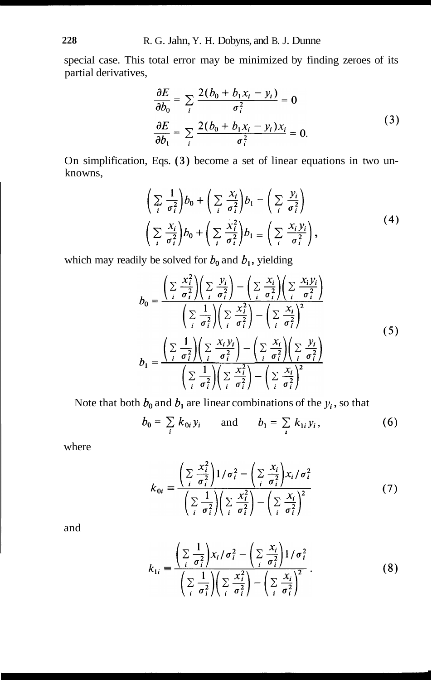special case. This total error may be minimized by finding zeroes of its partial derivatives,

$$
\frac{\partial E}{\partial b_0} = \sum_i \frac{2(b_0 + b_1 x_i - y_i)}{\sigma_i^2} = 0
$$
  

$$
\frac{\partial E}{\partial b_1} = \sum_i \frac{2(b_0 + b_1 x_i - y_i) x_i}{\sigma_i^2} = 0.
$$
 (3)

On simplification, Eqs. **(3)** become a set of linear equations in two unknowns,

$$
\left(\sum_{i} \frac{1}{\sigma_i^2}\right) b_0 + \left(\sum_{i} \frac{x_i}{\sigma_i^2}\right) b_1 = \left(\sum_{i} \frac{y_i}{\sigma_i^2}\right) \n\left(\sum_{i} \frac{x_i}{\sigma_i^2}\right) b_0 + \left(\sum_{i} \frac{x_i^2}{\sigma_i^2}\right) b_1 = \left(\sum_{i} \frac{x_i y_i}{\sigma_i^2}\right),
$$
\n(4)

which may readily be solved for  $b_0$  and  $b_1$ , yielding

$$
b_0 = \frac{\left(\sum_i \frac{x_i^2}{\sigma_i^2}\right)\left(\sum_i \frac{y_i}{\sigma_i^2}\right) - \left(\sum_i \frac{x_i}{\sigma_i^2}\right)\left(\sum_i \frac{x_i y_i}{\sigma_i^2}\right)}{\left(\sum_i \frac{1}{\sigma_i^2}\right)\left(\sum_i \frac{x_i^2}{\sigma_i^2}\right) - \left(\sum_i \frac{x_i}{\sigma_i^2}\right)^2}
$$
\n
$$
b_1 = \frac{\left(\sum_i \frac{1}{\sigma_i^2}\right)\left(\sum_i \frac{x_i y_i}{\sigma_i^2}\right) - \left(\sum_i \frac{x_i}{\sigma_i^2}\right)\left(\sum_i \frac{y_i}{\sigma_i^2}\right)}{\left(\sum_i \frac{1}{\sigma_i^2}\right)\left(\sum_i \frac{x_i^2}{\sigma_i^2}\right) - \left(\sum_i \frac{x_i}{\sigma_i^2}\right)^2}
$$
\n(5)

Note that both  $b_0$  and  $b_1$  are linear combinations of the  $y_i$ , so that

$$
b_0 = \sum_i k_{0i} y_i
$$
 and  $b_1 = \sum_i k_{1i} y_i$ , (6)

where

$$
k_{0i} = \frac{\left(\sum_{i} \frac{x_i^2}{\sigma_i^2}\right)1/\sigma_i^2 - \left(\sum_{i} \frac{x_i}{\sigma_i^2}\right) x_i/\sigma_i^2}{\left(\sum_{i} \frac{1}{\sigma_i^2}\right)\left(\sum_{i} \frac{x_i^2}{\sigma_i^2}\right) - \left(\sum_{i} \frac{x_i}{\sigma_i^2}\right)^2}
$$
(7)

and

$$
k_{1i} = \frac{\left(\sum_{i} \frac{1}{\sigma_i^2}\right) x_i / \sigma_i^2 - \left(\sum_{i} \frac{x_i}{\sigma_i^2}\right) 1 / \sigma_i^2}{\left(\sum_{i} \frac{1}{\sigma_i^2}\right) \left(\sum_{i} \frac{x_i^2}{\sigma_i^2}\right) - \left(\sum_{i} \frac{x_i}{\sigma_i^2}\right)^2}.
$$
 (8)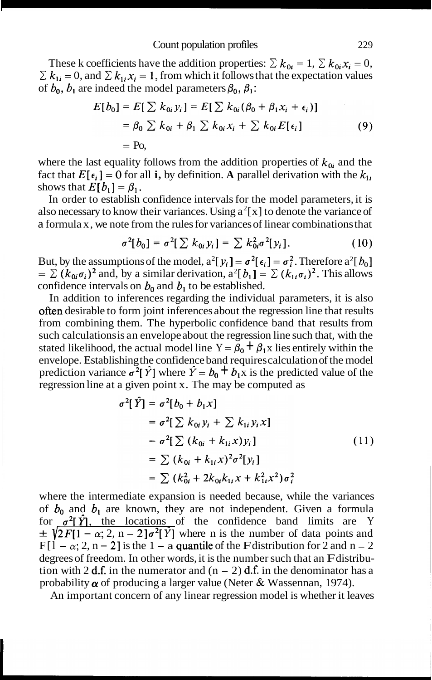These k coefficients have the addition properties:  $\sum k_{0i} = 1$ ,  $\sum k_{0i} x_i = 0$ ,  $\sum k_{1i} = 0$ , and  $\sum k_{1i} x_i = 1$ , from which it follows that the expectation values of  $b_0$ ,  $b_1$  are indeed the model parameters  $\beta_0$ ,  $\beta_1$ :

$$
E[b_0] = E[\sum k_{0i} y_i] = E[\sum k_{0i} (\beta_0 + \beta_1 x_i + \epsilon_i)]
$$
  
=  $\beta_0 \sum k_{0i} + \beta_1 \sum k_{0i} x_i + \sum k_{0i} E[\epsilon_i]$  (9)  
= Po,

where the last equality follows from the addition properties of  $k_{0i}$  and the fact that  $E[\epsilon_i] = 0$  for all **i**, by definition. A parallel derivation with the  $k_{1i}$ shows that  $E[b_1] = \beta_1$ .

In order to establish confidence intervals for the model parameters, it is also necessary to know their variances. Using  $a^2[x]$  to denote the variance of a formula x, we note from the rules for variances of linear combinations that

$$
\sigma^2[b_0] = \sigma^2[\sum k_{0i} y_i] = \sum k_{0i}^2 \sigma^2[y_i]. \qquad (10)
$$

But, by the assumptions of the model,  $a^2[y_i] = \sigma^2[\epsilon_i] = \sigma_i^2$ . Therefore  $a^2[b_0]$  $= \sum (k_{0i} \sigma_i)^2$  and, by a similar derivation,  $a^2[b_1] = \sum (k_{1i} \sigma_i)^2$ . This allows confidence intervals on  $b_0$  and  $b_1$  to be established.

In addition to inferences regarding the individual parameters, it is also often desirable to form joint inferences about the regression line that results from combining them. The hyperbolic confidence band that results from such calculations is an envelope about the regression line such that, with the stated likelihood, the actual model line  $Y = \beta_0 + \beta_1 x$  lies entirely within the envelope. Establishing the confidence band requires calculation of the model prediction variance  $\sigma^2[\hat{Y}]$  where  $\hat{Y} = b_0 + b_1 \bar{x}$  is the predicted value of the regression line at a given point x. The may be computed as

$$
\sigma^{2}[\hat{Y}] = \sigma^{2}[b_{0} + b_{1}x]
$$
  
\n
$$
= \sigma^{2}[\sum k_{0i}y_{i} + \sum k_{1i}y_{i}x]
$$
  
\n
$$
= \sigma^{2}[\sum (k_{0i} + k_{1i}x)y_{i}]
$$
  
\n
$$
= \sum (k_{0i} + k_{1i}x)^{2}\sigma^{2}[y_{i}]
$$
  
\n
$$
= \sum (k_{0i}^{2} + 2k_{0i}k_{1i}x + k_{1i}^{2}x^{2})\sigma^{2}_{i}
$$
  
\n(11)

where the intermediate expansion is needed because, while the variances of  $b_0$  and  $b_1$  are known, they are not independent. Given a formula for  $\sigma^2[\hat{Y}]$ , the locations of the confidence band limits are Y  $\pm \sqrt{2F[1 - \alpha; 2, n - 2]\sigma^2[\hat{Y}]}$  where n is the number of data points and  $F[1 - \alpha; 2, n - 2]$  is the 1 – a quantile of the F distribution for 2 and n – 2 degrees of freedom. In other words, it is the number such that an F distribution with 2 d.f. in the numerator and  $(n - 2)$  d.f. in the denominator has a probability  $\alpha$  of producing a larger value (Neter & Wassennan, 1974).

An important concern of any linear regression model is whether it leaves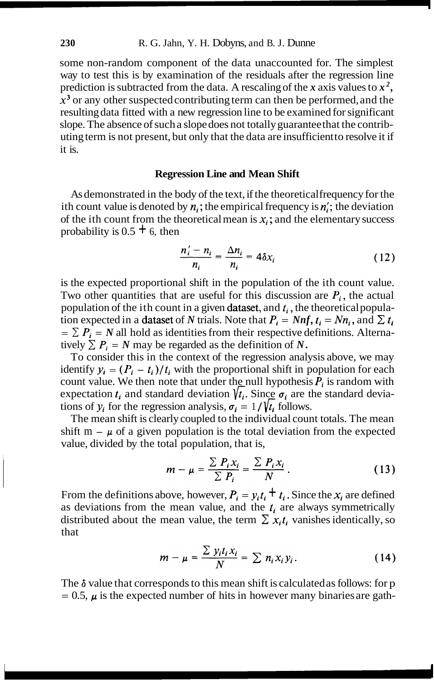some non-random component of the data unaccounted for. The simplest way to test this is by examination of the residuals after the regression line prediction is subtracted from the data. A rescaling of the *x* axis values to  $x^2$ ,  $x<sup>3</sup>$  or any other suspected contributing term can then be performed, and the resulting data fitted with a new regression line to be examined for significant slope. The absence of such a slope does not totally guarantee that the contributing term is not present, but only that the data are insufficient to resolve it if it is.

#### **Regression Line and Mean Shift**

As demonstrated in the body of the text, if the theoretical frequency for the ith count value is denoted by  $n_i$ ; the empirical frequency is  $n'_i$ ; the deviation of the ith count from the theoretical mean is  $x_i$ ; and the elementary success probability is  $0.5 \pm 6$ , then

$$
\frac{n'_i - n_i}{n_i} = \frac{\Delta n_i}{n_i} = 4\delta x_i \tag{12}
$$

is the expected proportional shift in the population of the ith count value. Two other quantities that are useful for this discussion are  $P_i$ , the actual population of the ith count in a given dataset, and  $t_i$ , the theoretical population expected in a **dataset** of *N* trials. Note that  $P_i = Nnf$ ,  $t_i = Nn_i$ , and  $\sum t_i$  $= \sum P_i = N$  all hold as identities from their respective definitions. Alternatively  $\sum P_i = N$  may be regarded as the definition of *N*.

To consider this in the context of the regression analysis above, we may identify  $y_i = (P_i - t_i)/t_i$  with the proportional shift in population for each count value. We then note that under the null hypothesis  $P_i$  is random with expectation  $t_i$  and standard deviation  $\hat{\ell}_i$ . Since  $\sigma_i$  are the standard deviations of  $y_i$  for the regression analysis,  $\sigma_i = 1/\sqrt{t_i}$  follows.

The mean shift is clearly coupled to the individual count totals. The mean shift  $m - \mu$  of a given population is the total deviation from the expected value, divided by the total population, that is,

$$
m - \mu = \frac{\sum P_i x_i}{\sum P_i} = \frac{\sum P_i x_i}{N} \,. \tag{13}
$$

From the definitions above, however,  $P_i = y_i t_i + t_i$ . Since the  $x_i$  are defined as deviations from the mean value, and the  $t_i$  are always symmetrically distributed about the mean value, the term  $\sum x_i t_i$  vanishes identically, so that

$$
m - \mu = \frac{\sum y_i t_i x_i}{N} = \sum n_i x_i y_i.
$$
 (14)

The **6** value that corresponds to this mean shift is calculated as follows: for p  $= 0.5$ ,  $\mu$  is the expected number of hits in however many binaries are gath-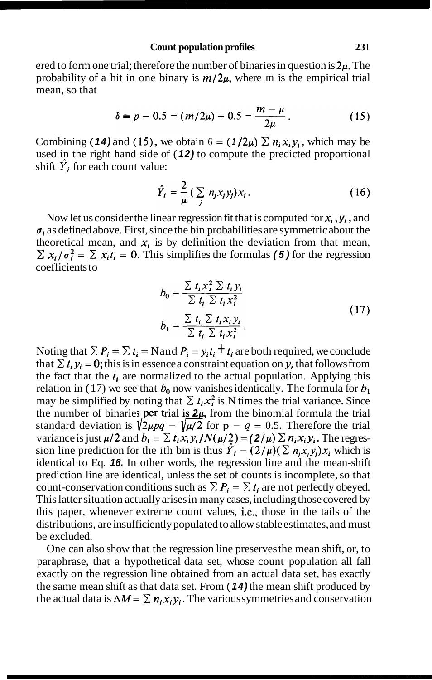## Count population profiles 231

ered to form one trial; therefore the number of binaries in question is **2p.** The probability of a hit in one binary is  $m/2\mu$ , where m is the empirical trial mean, so that

$$
\delta = p - 0.5 = (m/2\mu) - 0.5 = \frac{m - \mu}{2\mu} \,. \tag{15}
$$

Combining (14) and (15), we obtain  $6 = (1/2\mu) \sum n_i x_i y_i$ , which may be used in the right hand side of ( **12)** to compute the predicted proportional shift  $\hat{Y}$  for each count value:

$$
\hat{Y}_i = \frac{2}{\mu} \left( \sum_j n_j x_j y_j \right) x_i. \tag{16}
$$

Now let us consider the linear regression fit that is computed for  $x_i$ ,  $y_i$ , and  $\sigma_i$  as defined above. First, since the bin probabilities are symmetric about the theoretical mean, and  $x_i$  is by definition the deviation from that mean,  $\sum x_i/\sigma_i^2 = \sum x_i t_i = 0$ . This simplifies the formulas (5) for the regression coefficients to

$$
b_0 = \frac{\sum t_i x_i^2 \sum t_i y_i}{\sum t_i \sum t_i x_i^2}
$$
  
\n
$$
b_1 = \frac{\sum t_i \sum t_i x_i y_i}{\sum t_i \sum t_i x_i^2}.
$$
\n(17)

Noting that  $\sum P_i = \sum t_i = \text{Nand } P_i = y_i t_i + t_i$  are both required, we conclude that  $\sum t_i y_i = 0$ ; this is in essence a constraint equation on  $y_i$  that follows from the fact that the  $t_i$  are normalized to the actual population. Applying this relation in (17) we see that  $b_0$  now vanishes identically. The formula for  $b_1$ may be simplified by noting that  $\sum t_i x_i^2$  is N times the trial variance. Since may be simplified by noting that  $\sum t_i x_i^2$  is N times the trial variance. Since<br>the number of binaries **per trial is**  $2\mu$ , from the binomial formula the trial<br>standard deviation is  $\sqrt{2\mu pq} = \sqrt{\mu/2}$  for  $p = q = 0.5$ . Th variance is just  $\mu/2$  and  $b_1 = \sum t_i x_i y_i / N(\mu/2) = (2/\mu) \sum n_i x_i y_i$ . The regression line prediction for the ith bin is thus  $\hat{Y}_i = (2/\mu)(\sum n_i x_i y_i)x_i$  which is identical to Eq. **16.** In other words, the regression line and the mean-shift prediction line are identical, unless the set of counts is incomplete, so that count-conservation conditions such as  $\sum P_i = \sum t_i$  are not perfectly obeyed. This latter situation actually arises in many cases, including those covered by this paper, whenever extreme count values, i.e., those in the tails of the distributions, are insufficiently populated to allow stable estimates, and must be excluded.

One can also show that the regression line preserves the mean shift, or, to paraphrase, that a hypothetical data set, whose count population all fall exactly on the regression line obtained from an actual data set, has exactly the same mean shift as that data set. From ( **14)** the mean shift produced by the actual data is  $\Delta M = \sum n_i x_i y_i$ . The various symmetries and conservation